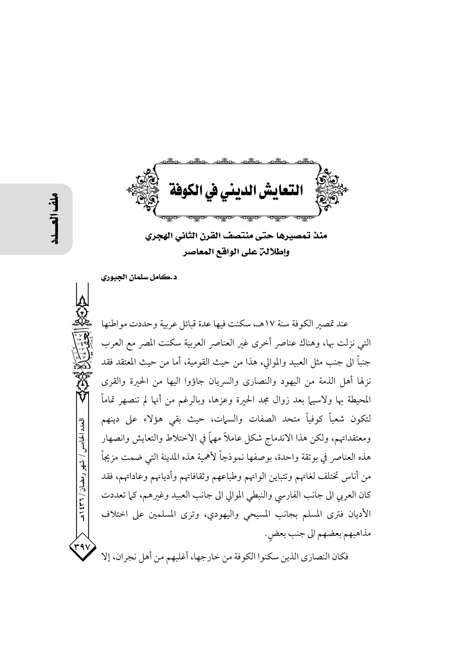منذ تمصيرها حتى منتصف القرن الثاني الهجري وإطلالت على الواقع المعاصر

د.كامل سلمان الجبوري

عند تمصير الكوفة سنة ١٧هـ، سكنت فيها عدة قبائل عربية وحددت مواطنها التي نزلت بها، وهناك عناصر أخرى غير العناصر العربية سكنت المصر مع العرب جنباً الى جنب مثل العبيد والموالي، هذا من حيث القومية، أما من حيث المعتقد فقد نزلها أهل الذمة من اليهود والنصاري والسريان جاؤوا اليها من الحبرة والقرى المحيطة بها ولاسيها بعد زوال مجد الحيرة وعزها، وبالرغم من أنها لم تنصهر تماماً لتكون شعباً كوفياً متحد الصفات والسيات، حيث بقى هؤلاء على دينهم ومعتقداتهم، ولكن هذا الاندماج شكل عاملاً مهماً في الاختلاط والتعايش وانصهار هذه العناصر في بوتقة واحدة، بوصفها نموذجاً لأهمية هذه المدينة التي ضمت مزيجاً من أناس تختلف لغاتهم وتتباين الوانهم وطباعهم وثقافاتهم وأديانهم وعاداتهم، فقد كان العربي الى جانب الفارسي والنبطي الموالي الى جانب العبيد وغيرهم، كما تعددت الأديان فترى المسلم بجانب المسيحي واليهودي، وترى المسلمين على اختلاف مذاهبهم بعضهم الي جنب بعض.

فكان النصاري الذين سكنوا الكوفة من خارجها، أغلبهم من أهل نجران، إلا

العدد الخامس / شهر رمضان / ۲۳۱ ه

٣٩١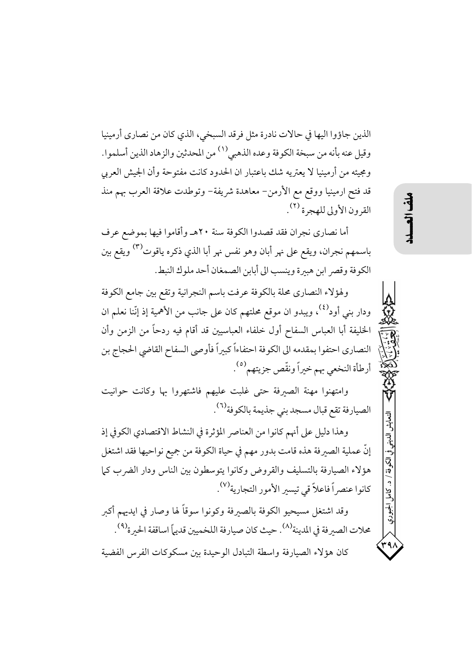الذين جاؤوا اليها في حالات نادرة مثل فرقد السبخي، الذي كان من نصاري أرمينيا وقيل عنه بأنه من سبخة الكوفة وعده الذهبي(١) من المحدثين والزهاد الذين أسلموا. ومجيئه من أرمينيا لا يعتريه شك باعتبار ان الحدود كانت مفتوحة وأن الجيش العربي قد فتح ارمينيا ووقع مع الأرمن- معاهدة شريفة- وتوطدت علاقة العرب بهم منذ القرون الأولى للهجرة (٢).

أما نصاري نجران فقد قصدوا الكوفة سنة ٢٠هـ وأقاموا فيها بموضع عرف باسمهم نجران، ويقع على نهر أبان وهو نفس نهر أبا الذي ذكره ياقوت<sup>(٣)</sup> ويقع بين الكوفة وقصر ابن هبيرة وينسب الى أبابن الصمغان أحد ملوك النبط.

ولهؤلاء النصاري محلة بالكوفة عرفت باسم النجرانية وتقع بين جامع الكوفة ودار بني أود<sup>(٤)</sup>، ويبدو ان موقع محلتهم كان على جانب من الأهمية إذ إنّنا نعلم ان الخليفة أبا العباس السفاح أول خلفاء العباسيين قد أقام فيه ردحاً من الزمن وأن النصاري احتفوا بمقدمه الى الكوفة احتفاءاً كبيراً فأوصى السفاح القاضي الحجاج بن أرطأة النخعي بهم خيراً ونقّص جزيتهم ``.

وامتهنوا مهنة الصيرفة حتى غلبت عليهم فاشتهروا بها وكانت حوانيت الصيارفة تقع قبال مسجد بني جذيمة بالكوفة<sup>(٦)</sup>.

وهذا دليل على أنهم كانوا من العناصر المؤثرة في النشاط الاقتصادي الكوفي إذ إنَّ عملية الصيرفة هذه قامت بدور مهم في حياة الكوفة من جميع نواحيها فقد اشتغل هؤلاء الصيارفة بالتسليف والقروض وكانوا يتوسطون بين الناس ودار الضرب كما كانوا عنصراً فاعلاً قي تيسير الأمور التجارية<sup>(٧)</sup>.

وقد اشتغل مسيحيو الكوفة بالصبرفة وكونوا سوقاً لها وصار في ايديهم أكبر محلات الصيرفة في المدينة<sup>(٨)</sup>. حيث كان صيارفة اللخميين قديهاً اساقفة الحيرة<sup>(٩)</sup>. كان هؤلاء الصيارفة واسطة التبادل الوحيدة بين مسكوكات الفرس الفضية

التعايش

الكوفة / د. كاما

الجبوري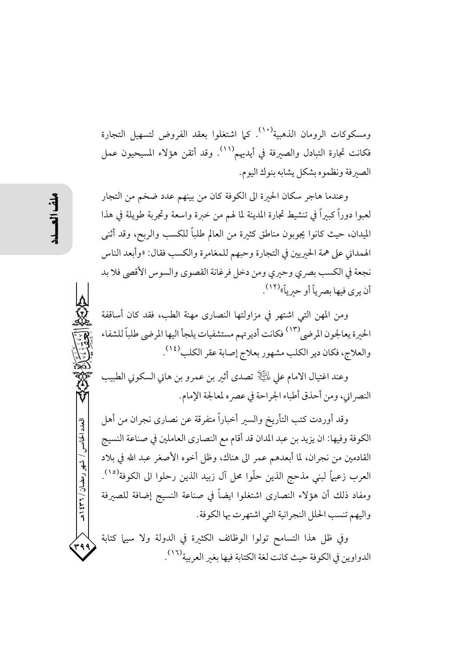ومسكوكات الرومان الذهبية<sup>(١٠)</sup>. كما اشتغلوا بعقد الفروض لتسهيل التجارة فكانت تجارة التبادل والصيرفة في أيديهم````. وقد أتقن هؤلاء المسيحيون عمل الصبرفة ونظموه بشكل يشابه بنوك اليوم.

وعندما هاجر سكان الحبرة الى الكوفة كان من بينهم عدد ضخم من التجار لعبوا دوراً كبيراً في تنشيط تجارة المدينة لما لهم من خبرة واسعة وتجربة طويلة في هذا الميدان، حيث كانوا يجوبون مناطق كثيرة من العالم طلباً للكسب والربح، وقد أثنى الهمداني على همة الحيريين في التجارة وحبهم للمغامرة والكسب فقال: «وأبعد الناس نجعة في الكسب بصري وحيري ومن دخل فرغانة القصوى والسوس الأقصى فلا بد أن يو ي فيها يصر باً أو حير باً»<sup>(١٢)</sup> .

ومن المهن التي اشتهر في مزاولتها النصارى مهنة الطب، فقد كان أساقفة الحيرة يعالجون المرضى<sup>(١٣)</sup> فكانت أديرتهم مستشفيات يلجأ اليها المرضى طلباً للشفاء والعلاج، فكان دير الكلب مشهور بعلاج إصابة عقر الكلب<sup>(١٤)</sup>.

وعند اغتيال الامام على لِمَائِيَالٍ تصدي أثير بن عمرو بن هاني السكوني الطبيب النصر اني، ومن أحذق أطباء الجراحة في عصر ه لمعالجة الإمام.

وقد أوردت كتب التأريخ والسبر أخباراً متفرقة عن نصارى نجران من أهل الكوفة وفيها: ان يزيد بن عبد المدان قد أقام مع النصاري العاملين في صناعة النسيج القادمين من نجران، لما أبعدهم عمر الى هناك، وظل أخوه الأصغر عبد الله في بلاد العرب زعيهاً لبني مذحج الذين حلَّوا محل آل زبيد الذين رحلوا الى الكوفة<sup>(١٥)</sup>. ومفاد ذلك أن هؤلاء النصارى اشتغلوا ايضاً في صناعة النسيج إضافة للصيرفة واليهم تنسب الحلل النجرانية التي اشتهرت بها الكوفة.

وفي ظل هذا التسامح تولوا الوظائف الكثيرة في الدولة ولا سيها كتابة الدواوين في الكوفة حيث كانت لغة الكتابة فيها بغير العربية<sup>(١٦)</sup>.

العدد الخامس / شهر رمضان / ۲۳۱ ه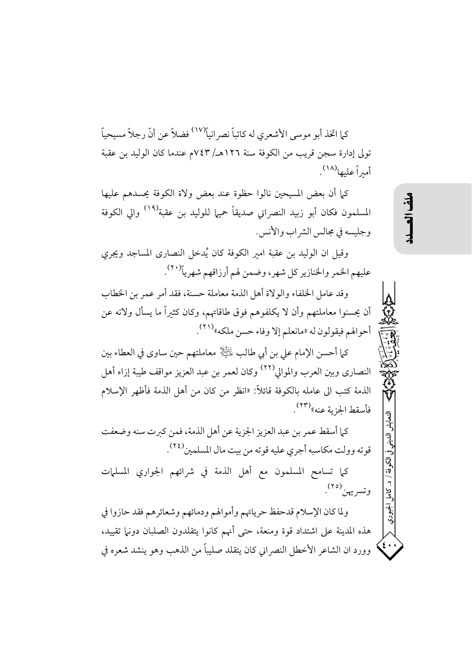كيا اتخذ أبو موسى الأشعري له كاتباً نصر انباً<sup>(١٧)</sup> فضلاً عن أنّ رجلاً مسيحياً تولى إدارة سجن قريب من الكوفة سنة ١٢٦هـ/ ٧٤٣م عندما كان الوليد بن عقبة أمبراً عليها $^{(\Lambda)}$ .

كما أن بعض المسيحين نالوا حظوة عند بعض ولاة الكوفة يحسدهم عليها المسلمون فكان أبو زبيد النصراني صديقاً حميها للوليد بن عقبة<sup>(١٩)</sup> والى الكوفة وجليسه في مجالس الشر اب والأنس.

وقيل ان الوليد بن عقبة امير الكوفة كان يُدخل النصارى المساجد ويجري عليهم الخمر والخنازير كل شهر، وضمن لهم أرزاقهم شهرياً<sup>(٢٠)</sup>.

وقد عامل الخلفاء والولاة أهل الذمة معاملة حسنة، فقد أمر عمر بن الخطاب أن يحسنوا معاملتهم وأن لا يكلفوهم فوق طاقاتهم، وكان كثيراً ما يسأل ولاته عن أحوالهم فيقولون له «مانعلم إلا وفاء حسن ملكه»(٢١).

كما أحسن الإمام على بن أبي طالب لِمَائِيَالٍ معاملتهم حين ساوي في العطاء بين النصاري وبين العرب والموالي<sup>(٢٢)</sup> وكان لعمر بن عبد العزيز مواقف طيبة إزاء أهل الذمة كتب الى عامله بالكوفة قائلاً: «انظر من كان من أهل الذمة فأظهر الإسلام فأسقط الجزية عنه»<sup>(٢٣)</sup>.

كما أسقط عمر بن عبد العزيز الجزية عن أهل الذمة، فمن كبرت سنه وضعفت قوته وولت مكاسبه أجري عليه قوته من بيت مال المسلمين<sup>(٢٤)</sup>.

كما تسامح المسلمون مع أهل الذمة في شرائهم الجواري المسلمات وتسريهن (٢٥).

ولما كان الإسلام قدحفظ حرياتهم وأموالهم ودمائهم وشعائرهم فقد حازوا في هذه المدينة على اشتداد قوة ومنعة، حتى أنهم كانوا يتقلدون الصلبان دونها تقييد، وورد ان الشاعر الأخطل النصر اني كان يتقلد صليباً من الذهب وهو ينشد شعره في التعايش

心"。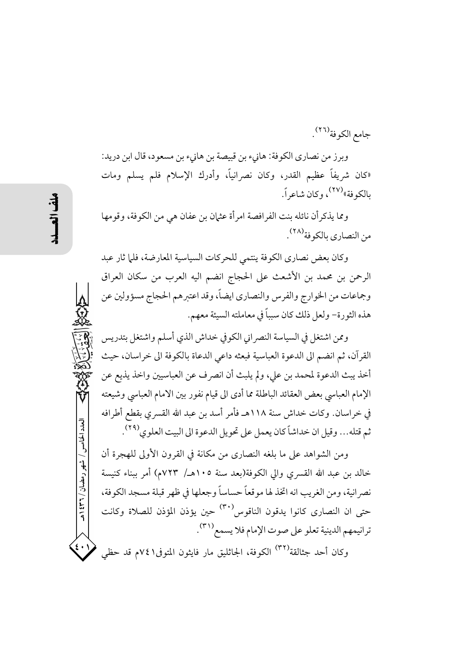جامع الكوفة <sup>(٢٦)</sup>.

وبرز من نصاري الكوفة: هانيء بن قبيصة بن هانيء بن مسعود، قال ابن دريد: «كان شريفاً عظيم القدر، وكان نصرانياً، وأدرك الإسلام فلم يسلم ومات بالكوفة»<sup>(٢٧)</sup>، وكان شاعراً.

ومما يذكرأن نائله بنت الفرافصة امرأة عثمان بن عفان هي من الكوفة، وقومها من النصاري بالكوفة <sup>(٢٨)</sup>.

وكان بعض نصاري الكوفة ينتمى للحركات السياسية المعارضة، فلما ثار عبد الرحمن بن محمد بن الأشعث على الحجاج انضم اليه العرب من سكان العراق وجماعات من الخوارج والفرس والنصاري ايضاً، وقد اعتبرهم الحجاج مسؤولين عن هذه الثورة- ولعل ذلك كان سبباً في معاملته السيئة معهم.

وممن اشتغل في السياسة النصراني الكوفي خداش الذي أسلم واشتغل بتدريس القرآن، ثم انضم الى الدعوة العباسية فبعثه داعى الدعاة بالكوفة الى خراسان، حيث أخذ يبث الدعوة لمحمد بن على، ولم يلبث أن انصرف عن العباسيين واخذ يذيع عن الإمام العباسي بعض العقائد الباطلة مما أدى الى قيام نفور بين الامام العباسي وشيعته في خراسان. وكات خداش سنة ١١٨هـ فأمر أسد بن عبد الله القسري بقطع أطرافه ثم قتله... وقيل ان خداشاً كان يعمل على تحويل الدعوة الى البيت العلوي<sup>(٢٩)</sup>.

ومن الشواهد على ما بلغه النصاري من مكانة في القرون الأولى للهجرة أن خالد بن عبد الله القسرى والى الكوفة(بعد سنة ١٠٥هـ/ ٧٢٣م) أمر ببناء كنيسة نصرانية، ومن الغريب انه اتخذ لها موقعاً حساساً وجعلها في ظهر قبلة مسجد الكوفة، حتى ان النصارى كانوا يدقون الناقوس<sup>(٣٠)</sup> حين يؤذن المؤذن للصلاة وكانت ترانيمهم الدينية تعلو على صوت الإمام فلا يسمع(٣١). وكان أحد جثالقة<sup>(٣٢)</sup> الكوفة، الجاثليق مار فايثون المتوفى١ ٧٤م قد حظي

العدد الخامس / شهر رمضان / ۳۶۲ هـ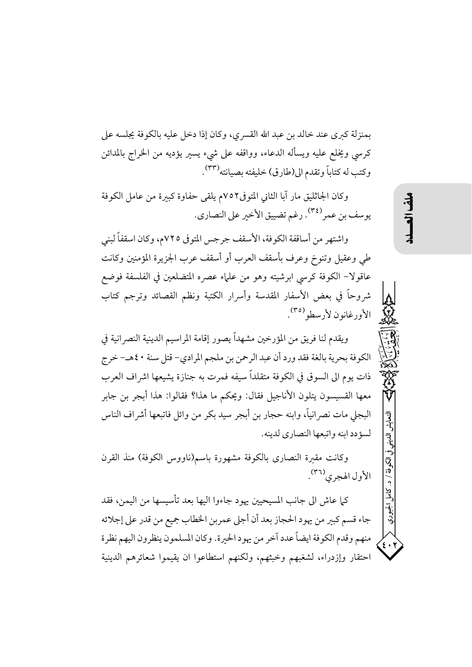بمنزلة كبرى عند خالد بن عبد الله القسري، وكان إذا دخل عليه بالكوفة يجلسه على كرسي ويخلع عليه ويسأله الدعاء، وواقفه على شيء يسير يؤديه من الخراج بالمدائن وكتب له كتاباً وتقدم الى(طارق) خليفته بصيانته (٣٣) .

وكان الجاثليق مار آبا الثاني المتوفى٧٥٢م يلقى حفاوة كبيرة من عامل الكوفة يوسف بن عمر <sup>(٣٤)</sup>. رغم تضييق الأخير على النصاري.

واشتهر من أساقفة الكوفة، الأسقف جرجس المتوفى ٧٢٥م، وكان اسقفاً لبني طي وعقيل وتنوخ وعرف بأسقف العرب أو أسقف عرب الجزيرة المؤمنين وكانت عاقولا– الكوفة كرسي ابرشيته وهو من علماء عصره المتضلعين في الفلسفة فوضع شروحاً في بعض الأسفار المقدسة وأسرار الكتبة ونظم القصائد وترجم كتاب الأورغانون لأرسطو (٣٥).

ويقدم لنا فريق من المؤرخين مشهداً يصور إقامة المراسيم الدينية النصر انية في الكوفة بحرية بالغة فقد ورد أن عبد الرحمن بن ملجم المرادي- قتل سنة ٤٠هـ- خرج ذات يوم الى السوق في الكوفة متقلداً سيفه فمرت به جنازة يشيعها اشراف العرب معها القسيسون يتلون الأناجيل فقال: ويحكم ما هذا؟ فقالوا: هذا أبجر بن جابر البجلي مات نصر انياً، وابنه حجار بن أبجر سيد بكر من وائل فاتبعها أشراف الناس لسؤدد ابنه واتبعها النصاري لدينه.

وكانت مقىرة النصارى بالكوفة مشهورة باسم(ناووس الكوفة) منذ القرن الأول الهجري<sup>(٣٦)</sup>.

كما عاش الى جانب المسيحيين يهود جاءوا اليها بعد تأسيسها من اليمن، فقد جاء قسم كبير من يهود الحجاز بعد أن أجلى عمربن الخطاب جميع من قدر على إجلائه منهم وقدم الكوفة ايضاً عدد آخر من يهود الحيرة. وكان المسلمون ينظرون اليهم نظرة احتقار وإزدراء، لشغبهم وخبثهم، ولكنهم استطاعوا ان يقيموا شعائرهم الدينية  $\ddot{\phi}$ 

الكونة / د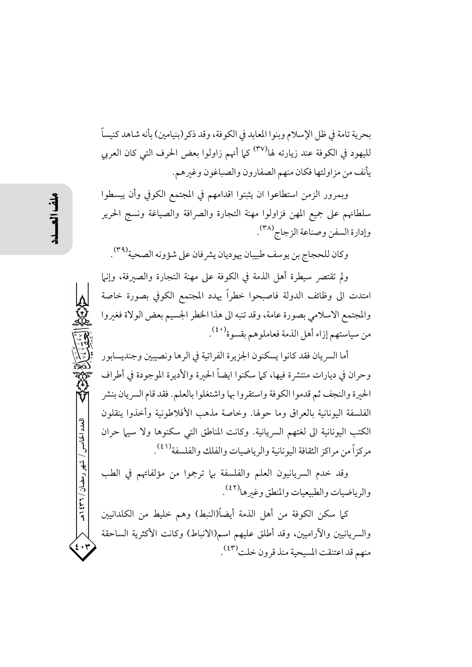بحرية تامة في ظل الإسلام وبنوا المعابد في الكوفة، وقد ذكر (بنيامين) بأنه شاهد كنيساً لليهود في الكوفة عند زيارته لها<sup>(٣٧)</sup> كما أنهم زاولوا بعض الحرف التي كان العربي يأنف من مزاولتها فكان منهم الصفارون والصباغون وغبرهم.

وبمرور الزمن استطاعوا ان يثبتوا اقدامهم في المجتمع الكوفي وأن يبسطوا سلطانهم على جميع المهن فزاولوا مهنة التجارة والصرافة والصياغة ونسج الحرير وإدارة السفن وصناعة الزجاج (٣٨).

وكان للحجاج بن يوسف طبيبان يهوديان يشرفان على شؤونه الصحية<sup>(٣٩)</sup>.

ولم تقتصر سيطرة أهل الذمة في الكوفة على مهنة التجارة والصيرفة، وإنيا امتدت الى وظائف الدولة فاصبحوا خطراً يهدد المجتمع الكوفي بصورة خاصة والمجتمع الاسلامي بصورة عامة، وقد تنبه الى هذا الخطر الجسيم بعض الولاة فغبروا من سياستهم إزاء أهل الذمة فعاملوهم بقسوة<sup>(٤٠)</sup>.

أما السريان فقد كانوا يسكنون الجزيرة الفراتية في الرها ونصيبين وجنديسابور وحران في ديارات منتشرة فيها، كيا سكنوا ايضاً الحبرة والأديرة الموجودة في أطراف الحيرة والنجف ثم قدموا الكوفة واستقروا بها واشتغلوا بالعلم. فقد قام السريان بنشر الفلسفة اليونانية بالعراق وما حولها. وخاصة مذهب الأفلاطونية وأخذوا ينقلون الكتب اليونانية الى لغتهم السريانية. وكانت المناطق التي سكنوها ولا سيها حران مركزاً من مراكز الثقافة اليونانية والرياضيات والفلك والفلسفة (٤١).

وقد خدم السريانيون العلم والفلسفة بها ترجموا من مؤلفاتهم في الطب والرياضيات والطبيعيات والمنطق وغيرها<sup>(٤٢)</sup>.

كما سكن الكوفة من أهل الذمة أيضاً(النبط) وهم خليط من الكلدانيين والسريانيين والآراميين، وقد أطلق عليهم اسم(الانباط) وكانت الأكثرية الساحقة منهم قد اعتنقت المسيحية منذ قرون خلت<sup>(٤٣)</sup>.

العدد الخامس / شهر رمضان / ۲۳۱ ه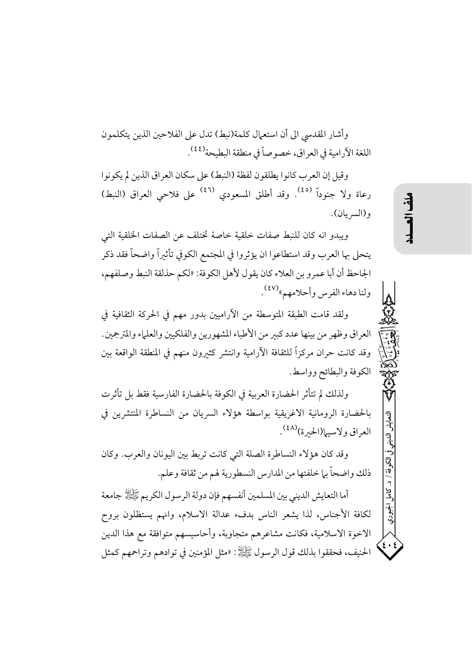وأشار المقدسي الى أن استعمال كلمة(نبط) تدل على الفلاحين الذين يتكلمون اللغة الآرامية في العراق، خصوصاً في منطقة البطيحة (<sup>٤٤)</sup>.

وقيل إن العرب كانوا يطلقون لفظة (النبط) على سكان العراق الذين لم يكونوا رعاة ولا جنوداً <sup>(٤٥)</sup>. وقد أطلق المسعودي <sup>(٤٦)</sup> على فلاحي العراق (النبط) و(السريان).

ويبدو انه كان للنبط صفات خلقية خاصة تختلف عن الصفات الخلقية التي يتحلى بها العرب وقد استطاعوا ان يؤثروا في المجتمع الكوفي تأثيراً واضحاً فقد ذكر الجاحظ أن أبا عمرو بن العلاء كان يقول لأهل الكوفة: «لكم حذلقة النبط وصلفهم، ولنا دهاء الفرس وأحلامهم»<sup>(٤٧)</sup> .

ولقد قامت الطبقة المتوسطة من الأراميين بدور مهم في الحركة الثقافية في العراق وظهر من بينها عدد كبير من الأطباء المشهورين والفلكيين والعلماء والمترجمين. وقد كانت حران مركزاً للثقافة الأرامية وانتشر كثيرون منهم في المنطقة الواقعة بين الكوفة والبطائح وواسط.

ولذلك لم تتأثر الحضارة العربية في الكوفة بالحضارة الفارسية فقط بل تأثرت بالحضارة الرومانية الاغريقية بواسطة هؤلاء السريان من النساطرة المنتشرين في العراق ولاسيها(الحبرة)<sup>(٤٨)</sup>.

وقد كان هؤلاء النساطرة الصلة التي كانت تربط بين اليونان والعرب. وكان ذلك واضحاً بل خلفتها من المدارس النسطورية لهم من ثقافة وعلم.

أما التعايش الديني بين المسلمين أنفسهم فإن دولة الرسول الكريم ﷺ جامعة لكافة الأجناس، لذا يشعر الناس بدفء عدالة الاسلام، وانهم يستظلون بروح الاخوة الاسلامية، فكانت مشاعرهم متجاوبة، وأحاسيسهم متوافقة مع هذا الدين الحنيف، فحققوا بذلك قول الرسول ﷺ: «مثل المؤمنين في توادهم وتراحمهم كمثل التعايش الديني

الكوفة / د.

ک<br>ک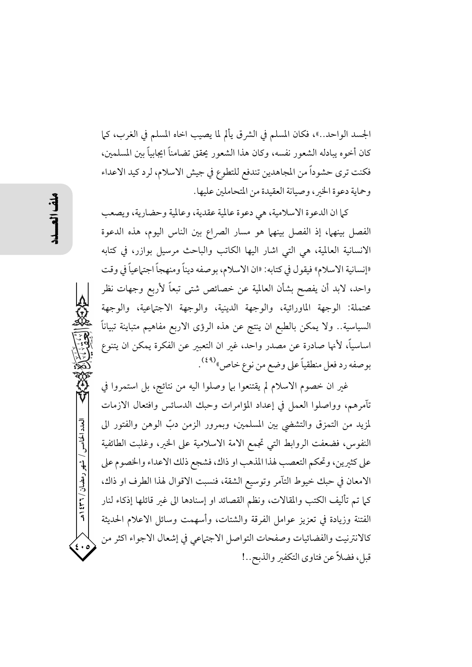الجسد الواحد..»، فكان المسلم في الشرق يألم لما يصيب اخاه المسلم في الغرب، كما كان أخوه يبادله الشعور نفسه، وكان هذا الشعور يحقق تضامناً ايجابياً بين المسلمين، فكنت ترى حشوداً من المجاهدين تندفع للتطوع في جيش الاسلام، لرد كيد الاعداء وحماية دعوة الخبر، وصيانة العقيدة من المتحاملين عليها.

كما ان الدعوة الاسلامية، هي دعوة عالمية عقدية، وعالمية وحضارية، ويصعب الفصل بينها، إذ الفصل بينهما هو مسار الصراع بين الناس اليوم، هذه الدعوة الانسانية العالمية، هي التي اشار اليها الكاتب والباحث مرسيل بوازر، في كتابه «إنسانية الاسلام» فيقول في كتابه: «ان الاسلام، بوصفه ديناً ومنهجاً اجتهاعياً في وقت واحد، لابد أن يفصح بشأن العالمية عن خصائص شتى تبعاً لأربع وجهات نظر محتملة: الوجهة الماورائية، والوجهة الدينية، والوجهة الاجتهاعية، والوجهة السياسية.. ولا يمكن بالطبع ان ينتج عن هذه الرؤى الاربع مفاهيم متباينة تبياناً اساسياً، لأنها صادرة عن مصدر واحد، غير ان التعبير عن الفكرة يمكن ان يتنوع بوصفه رد فعل منطقياً على وضع من نوع خاص»<sup>(٤٩)</sup>.

غير ان خصوم الاسلام لم يقتنعوا بها وصلوا اليه من نتائج، بل استمروا في تآمرهم، وواصلوا العمل في إعداد المؤامرات وحبك الدسائس وافتعال الازمات لمزيد من التمزق والتشضي بين المسلمين، وبمرور الزمن دبّ الوهن والفتور الى النفوس، فضعفت الروابط التي تجمع الامة الاسلامية على الخير، وغلبت الطائفية على كثيرين، وتحكم التعصب لهذا المذهب او ذاك، فشجع ذلك الاعداء والخصوم على الامعان في حبك خيوط التآمر وتوسيع الشقة، فنسبت الاقوال لهذا الطرف او ذاك، كما تم تأليف الكتب والمقالات، ونظم القصائد او إسنادها الى غير قائلها إذكاء لنار الفتنة وزيادة في تعزيز عوامل الفرقة والشتات، وأسهمت وسائل الاعلام الحديثة كالانترنيت والفضائيات وصفحات التواصل الاجتهاعي في إشعال الاجواء اكثر من قبل، فضلاً عن فتاوى التكفير والذبح..!

العدد الخامس / شهر رمضان / ۳۲۱ هـ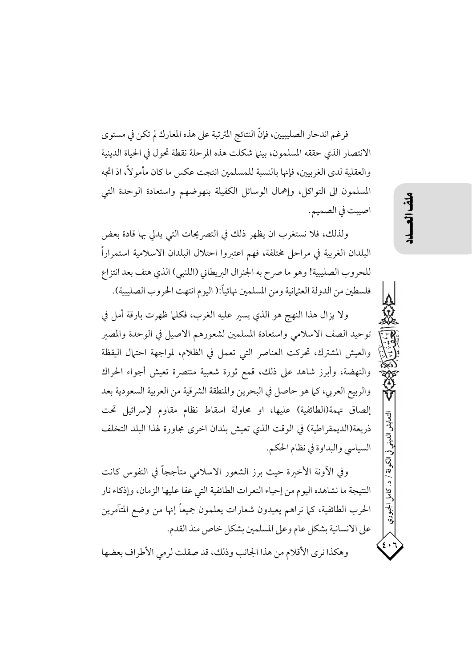فرغم اندحار الصليبيين، فإنَّ النتائج المترتبة على هذه المعارك لم تكن في مستوى الانتصار الذي حققه المسلمون، بينها شكلت هذه المرحلة نقطة تحول في الحياة الدينية والعقلية لدى الغربيين، فإنها بالنسبة للمسلمين انتجت عكس ما كان مأمو لاً، اذ اتجه المسلمون الى التواكل، وإهمال الوسائل الكفيلة بنهوضهم واستعادة الوحدة التي اصيبت في الصميم.

ولذلك، فلا نستغرب ان يظهر ذلك في التصريحات التي يدلي بها قادة بعض البلدان الغربية في مراحل مختلفة، فهم اعتبروا احتلال البلدان الاسلامية استمراراً للحروب الصليبية! وهو ما صرح به الجنرال البريطاني (اللنبي) الذي هتف بعد انتزاع فلسطين من الدولة العثمانية ومن المسلمين نهائياً:( اليوم انتهت الحروب الصليبية).

ولا يزال هذا النهج هو الذي يسبر عليه الغرب، فكلَّما ظهرت بارقة أمل في توحيد الصف الاسلامي واستعادة المسلمين لشعورهم الاصيل في الوحدة والمصبر والعيش المشترك، تحركت العناصر التي تعمل في الظلام، لمواجهة احتيال اليقظة والنهضة، وأبرز شاهد على ذلك، قمع ثورة شعبية منتصرة تعيش أجواء الحراك والربيع العربي، كما هو حاصل في البحرين والمنطقة الشرقية من العربية السعودية بعد إلصاق تهمة(الطائفية) عليها، او محاولة اسقاط نظام مقاوم لإسرائيل تحت ذريعة(الديمقراطية) في الوقت الذي تعيش بلدان اخرى مجاورة لهذا البلد التخلف السياسي والبداوة في نظام الحكم.

وفي الآونة الأخيرة حيث برز الشعور الاسلامي متأججاً في النفوس كانت النتيجة ما نشاهده اليوم من إحياء النعرات الطائفية التي عفا عليها الزمان، وإذكاء نار الحرب الطائفية، كما نراهم يعيدون شعارات يعلمون جميعاً إنها من وضع المتآمرين على الانسانية بشكل عام وعلى المسلمين بشكل خاص منذ القدم. وهكذا نرى الأقلام من هذا الجانب وذلك، قد صقلت لرمي الأطراف بعضها

بى الكوفة / د. كاما ،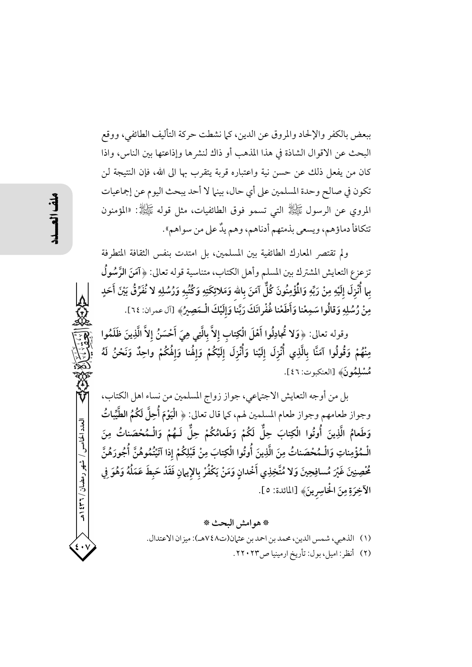ببعض بالكفر والإلحاد والمروق عن الدين، كما نشطت حركة التأليف الطائفي، ووقع البحث عن الاقوال الشاذة في هذا المذهب أو ذاك لنشرها وإذاعتها بين الناس، واذا كان من يفعل ذلك عن حسن نية واعتباره قربة يتقرب بها الى الله، فإن النتيجة لن تكون في صالح وحدة المسلمين على أي حال، بينها لا أحد يبحث اليوم عن إجماعيات المروي عن الرسول ﷺ التي تسمو فوق الطائفيات، مثل قوله ﷺ: «المؤمنون تتكافأ دماؤهم، ويسعى بذمتهم أدناهم، وهم يدٌ على من سواهم».

ولم تقتصر المعارك الطائفية بين المسلمين، بل امتدت بنفس الثقافة المتطرفة تزعزع التعايش المشترك بين المسلم وأهل الكتاب، متناسية قوله تعالى: ﴿ آمَنَ الرَّسُولُ بِما أُنْزِلَ إلَيْهِ مِنْ رَبِّهِ وَالْمُؤْمِنُونَ كُلٌّ آمَنَ بِالله وَمَلائِكَتِهِ وَكُتُبِهِ وَرُسُلِهِ لا نُفَرِّقُ بَيْنَ أَحَدٍ مِنْ رُسُلِهِ وَقالُوا سَمِعْنا وَأَطَعْنا غُفْرانَكَ رَبَّناً وَإِلَيْكَ الْمَصِيرُ﴾ [آل عمران: ٢٤].

وقوله تعالى: ﴿وَلا تُجادِلُوا أَهْلَ الْكِتابِ إِلاَّ بِالَّتِي هِيَ أَحْسَنُ إِلاَّ الَّذِينَ ظَلَمُوا مِنْهُمْ وَقُولُوا آمَنَّا بِالَّذِي أُنْزِلَ إِلَيْنا وَأُنْزِلَ إِلَيْكُمْ وَإِلْهُنا وَإِلْهُكُمْ واحِدٌ وَنَحْنُ لَهُ مْسْلِمُونَ﴾ [العنكبوت: ٤٦].

بل من أوجه التعايش الاجتماعي، جواز زواج المسلمين من نساء اهل الكتاب، وجواز طعامهم وجواز طعام المسلمين لهم، كما قال تعالى: ﴿ الْيَوْمَ أُحِلَّ لَكُمُ الطَّيِّباتُ وَطَعامُ الَّذِينَ أُوتُوا الْكِتابَ حِلٌّ لَكُمْ وَطَعامُكُمْ حِلٌّ لَـهُمْ وَالْـمُحْصَناتُ مِنَ الْـمُؤْمِناتِ وَالْـمُحْصَناتُ مِنَ الَّذِينَ أُوتُوا الْكِتابَ مِنْ قَبْلِكُمْ إذا آتَيْتُمُوهُنَّ أُجُورَهُنَّ مُحْصِنِينَ غَيْرَ مُسافِحِينَ وَلا مُتَّخِذِي أَخْدانِ وَمَنْ يَكْفُرْ بالإيمانِ فَقَدْ حَبِطَ عَمَلُهُ وَهُوَ فِي الآخِرَةِ مِنَ الْخَاسِرِينَ﴾ [المائدة: ٥].

> \* هو امش البحث \* (١) الذهبي، شمس الدين، محمد بن احمد بن عثمان(ت٧٤٨هـ): ميزان الاعتدال. (٢) أنظر: اميل، بول: تأريخ ارمينيا ص٢٠٢٣.

العدد الخامس / شهر رمضان / ۳۲ ه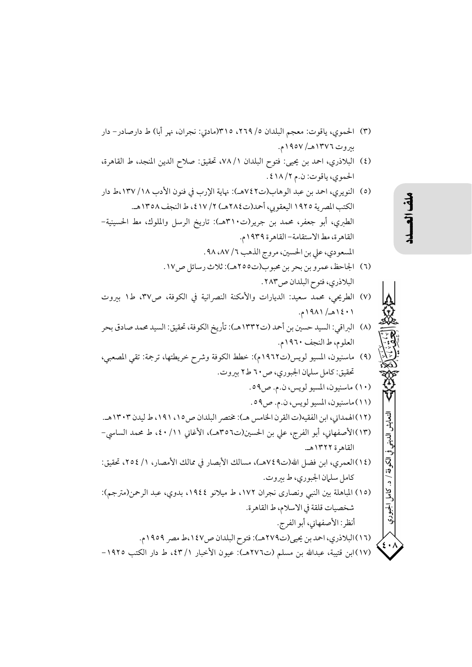- (٣) الحموي، ياقوت: معجم البلدان ٥/ ٢٦٩، ٣١٥(مادق: نجران، نهر أبا) ط دارصادر– دار بيروت ١٣٧٦هـ/ ١٩٥٧م.
- (٤) البلاذري، احمد بن يحيى: فتوح البلدان ١/ ٧٨، تحقيق: صلاح الدين المنجد، ط القاهرة، الحموي، ياقوت: ن.م ١٨/٢.

(٥) النويري، احمد بن عبد الوهاب(ت٧٤٢هـ): نهاية الإرب في فنون الأدب ١٣٧/١٨،ط دار الكتب المصرية ١٩٢٥ اليعقوبي، أحمد(ت٢٨٤هـ) ٢/ ٤١٧، ط النجف ١٣٥٨هـ. الطبري، أبو جعفر، محمد بن جرير(ت٣١٠هـ): تاريخ الرسل والملوك، مط الحسينية-القاهرة، مط الاستقامة- القاهرة ١٩٣٩م. المسعودي، على بن الحسين، مروج الذهب ٦/ ٨٧، ٩٨.

- (٦) الجاحظ، عمرو بن بحر بن محبوب(ت٢٥٥هـ): ثلاث رسائل ص١٧. البلاذري، فتوح البلدان ص٢٨٣.
- (٧) الطريحي، محمد سعيد: الديارات والأمكنة النصرانية في الكوفة، ص٣٧، ط١ بيروت ۰۱ ۱۹۸۱ (۱۹۸۸م.
- (٨) البراقي: السيد حسين بن أحمد (ت١٣٣٢هـ): تأريخ الكوفة، تحقيق: السيد محمد صادق بحر العلوم، ط النجف ١٩٦٠م.
- (٩) ماسنيون، المسيو لويس(ت١٩٦٢م): خطط الكوفة وشرح خريطتها، ترجمة: تقى المصعبي، تحقيق: كامل سلمان الجبوري، ص ٦٠ ط٢ بيروت.

$$
0.987 \text{ mJy} \text{ (J.1)}
$$

- (١٢) الهمداني، ابن الفقيه(ت القرن الخامس هـ): مختصر البلدان ص١٥، ١٩١، ط ليدن ١٣٠٣هـ. (١٣)الأصفهاني، أبو الفرج، على بن الحسين(ت٣٥٦هـ)، الأغاني ١١/ ٤٠، ط محمد الساسي-القاهرة ١٣٢٢هـ.
- (١٤)العمري، ابن فضل الله(ت٤٩هـ)، مسالك الأبصار في ممالك الأمصار، ١/ ٢٥٤، تحقيق: كامل سلمان الجبوري، ط بيروت.
- (١٥) المباهلة بين النبي ونصاري نجران ١٧٢، ط ميلانو ١٩٤٤، بدوى، عبد الرحمن(مترجم): شخصيات قلقة في الاسلام، ط القاهر ة.
	- أنظر: الأصفهاني، أبو الفرج. (١٦) البلاذري، احمد بن يحيى(ت٢٧٩هـ): فتوح البلدان ص١٤٧،ط مصر ١٩٥٩م.
- (١٧)ابن قتيبة، عبدالله بن مسلم (ت٢٧٦هـ): عيون الأخبار ١/ ٤٣، ط دار الكتب ١٩٢٥-

## $\ddot{\mathbf{f}}$

التعايش

ِ الديني

في الكوفة / د.

َ وا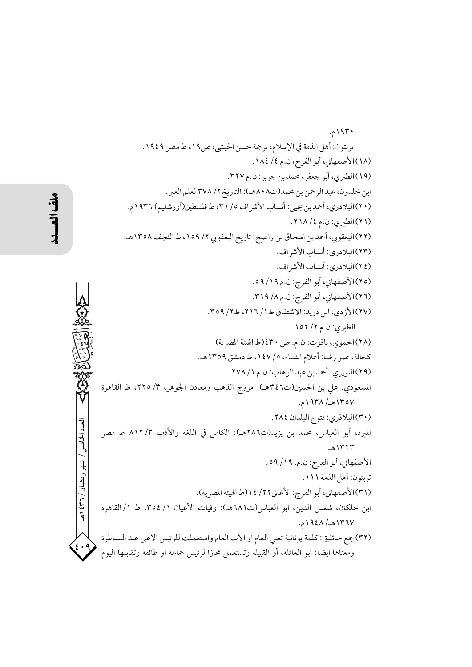۱۹۳۰م. تربتون: أهل الذمة في الإسلام، ترجمة حسن الحبشي، ص١٩، ط مصر ١٩٤٩. (١٨) الأصفهاني، أبو الفرج، ن.م ٤/ ١٨٤. (١٩)الطبري، أبو جعفر، محمد بن جرير: ن.م ٣٢٧. ابن خلدون، عبد الرحمن بن محمد(ت٨٠٨هـ): التاريخ٢٧٨/٢ لعلم العبر . (٢٠)البلاذري، أحمد بن يحيى: أنساب الأشر اف ٥/ ٣١، ط فلسطين(أورشليم) ١٩٣٦م. (٢١)الطيري: ن.م ٢١٨/٤. (٢٢)اليعقوبي، أحمد بن اسحاق بن واضح: تاريخ اليعقوبي ٢/ ١٥٩، ط النجف ١٣٥٨هـ. (٢٣)البلاذري: أنساب الأشر اف. (٢٤)البلاذري: أنساب الأشر اف. (٢٥) الأصفهاني، أبو الفرج: ن.م ١٩/ ٥٩. (٢٦) الأصفهاني، أبو الفرج: ن.م ٨/ ٣١٩. (٢٧) الأزدي، ابن دريد: الاشتقاق ط١/ ٢١٦، ط٢/ ٣٥٩. الطبري: ن.م ٢/ ١٥٢. (٢٨)الحموي، ياقوت: ن.م. ص ٤٣٠(ط الهيئة المصرية). كحالة، عمر رضا: أعلام النساء، ٥/ ١٤٧، ط دمشق ١٣٥٩هـ. (٢٩) النويري: أحمد بن عبد الوهاب: ن.م ١/ ٢٧٨. المسعودي: على بن الحسين(ت٤٦هـ): مروج الذهب ومعادن الجوهر، ٣/ ٢٢٥، ط القاهرة ١٣٥٧هـ/ ١٩٣٨م. (٣٠) البلاذري: فتوح البلدان ٢٨٤. المبرد، أبو العباس، محمد بن يزيد(ت٢٨٦هـ): الكامل في اللغة والأدب ٣/ ٨١٢ ط مصر ١٣٢٣هـ. الأصفهاني، أبو الفرج: ن.م. ١٩/ ٥٩. تربتون: أهل الذمة ١١١. (٣١)الأصفهاني، أبو الفرج: الأغاني٢٢/ ١٤(ط الهيئة المصرية). ابن خلكان، شمس الدين، ابو العباس(ت٦٨١هـ): وفيات الأعيان ١/ ٣٥٤، ط ١/ القاهرة ١٣٦٧هـ/ ١٩٤٨م. (٣٢)جمع جاثليق: كلمة يونانية تعني العام او الاب العام واستعملت للرئيس الاعلى عند النساطرة ومعناها ايضا: ابو العائلة، أو القبيلة وتستعمل مجازا لرئيس جماعة او طائفة وتقابلها اليوم

العدد الخامس / شهر رمضان / ۳۲ \$ ۱هـ